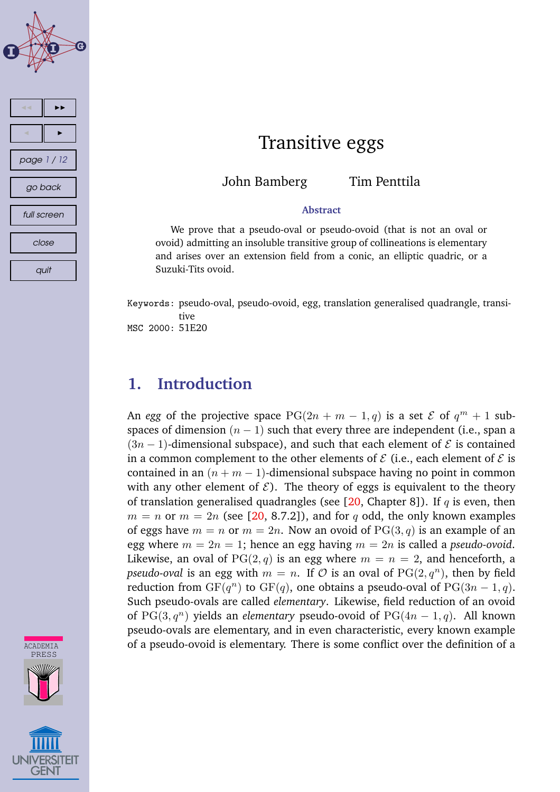



### Transitive eggs

John Bamberg Tim Penttila

### **Abstract**

We prove that a pseudo-oval or pseudo-ovoid (that is not an oval or ovoid) admitting an insoluble transitive group of collineations is elementary and arises over an extension field from a conic, an elliptic quadric, or a Suzuki-Tits ovoid.

Keywords: pseudo-oval, pseudo-ovoid, egg, translation generalised quadrangle, transitive MSC 2000: 51E20

### **1. Introduction**

An *egg* of the projective space  $PG(2n + m - 1, q)$  is a set  $\mathcal E$  of  $q^m + 1$  subspaces of dimension  $(n - 1)$  such that every three are independent (i.e., span a  $(3n - 1)$ -dimensional subspace), and such that each element of  $\mathcal E$  is contained in a common complement to the other elements of  $\mathcal E$  (i.e., each element of  $\mathcal E$  is contained in an  $(n + m - 1)$ -dimensional subspace having no point in common with any other element of  $\mathcal{E}$ ). The theory of eggs is equivalent to the theory of translation generalised quadrangles (see  $[20,$  Chapter 8]). If q is even, then  $m = n$  or  $m = 2n$  (see [\[20,](#page-11-0) 8.7.2]), and for q odd, the only known examples of eggs have  $m = n$  or  $m = 2n$ . Now an ovoid of PG(3, q) is an example of an egg where  $m = 2n = 1$ ; hence an egg having  $m = 2n$  is called a *pseudo-ovoid*. Likewise, an oval of PG(2, q) is an egg where  $m = n = 2$ , and henceforth, a *pseudo-oval* is an egg with  $m = n$ . If  $\mathcal O$  is an oval of  $\mathrm{PG}(2, q^n)$ , then by field reduction from  $GF(q^n)$  to  $GF(q)$ , one obtains a pseudo-oval of  $PG(3n-1, q)$ . Such pseudo-ovals are called *elementary*. Likewise, field reduction of an ovoid of  $PG(3, q^n)$  yields an *elementary* pseudo-ovoid of  $PG(4n - 1, q)$ . All known pseudo-ovals are elementary, and in even characteristic, every known example of a pseudo-ovoid is elementary. There is some conflict over the definition of a

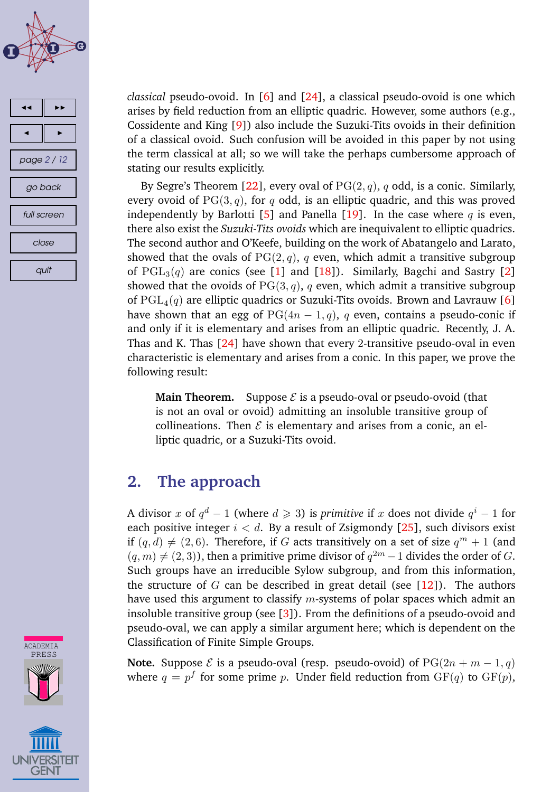



*classical* pseudo-ovoid. In [\[6\]](#page-10-0) and [\[24\]](#page-11-0), a classical pseudo-ovoid is one which arises by field reduction from an elliptic quadric. However, some authors (e.g., Cossidente and King [\[9\]](#page-10-0)) also include the Suzuki-Tits ovoids in their definition of a classical ovoid. Such confusion will be avoided in this paper by not using the term classical at all; so we will take the perhaps cumbersome approach of stating our results explicitly.

By Segre's Theorem [\[22\]](#page-11-0), every oval of  $PG(2, q)$ , q odd, is a conic. Similarly, every ovoid of  $PG(3, q)$ , for q odd, is an elliptic quadric, and this was proved independently by Barlotti [\[5\]](#page-10-0) and Panella [\[19\]](#page-11-0). In the case where  $q$  is even, there also exist the *Suzuki-Tits ovoids* which are inequivalent to elliptic quadrics. The second author and O'Keefe, building on the work of Abatangelo and Larato, showed that the ovals of  $PG(2, q)$ , q even, which admit a transitive subgroup of  $PGL_3(q)$  are conics (see [\[1\]](#page-9-0) and [\[18\]](#page-11-0)). Similarly, Bagchi and Sastry [\[2\]](#page-10-0) showed that the ovoids of  $PG(3, q)$ , q even, which admit a transitive subgroup of PGL<sub>4</sub>(q) are elliptic quadrics or Suzuki-Tits ovoids. Brown and Lavrauw [\[6\]](#page-10-0) have shown that an egg of  $PG(4n-1, q)$ , q even, contains a pseudo-conic if and only if it is elementary and arises from an elliptic quadric. Recently, J. A. Thas and K. Thas  $[24]$  have shown that every 2-transitive pseudo-oval in even characteristic is elementary and arises from a conic. In this paper, we prove the following result:

**Main Theorem.** Suppose  $\mathcal{E}$  is a pseudo-oval or pseudo-ovoid (that is not an oval or ovoid) admitting an insoluble transitive group of collineations. Then  $\mathcal E$  is elementary and arises from a conic, an elliptic quadric, or a Suzuki-Tits ovoid.

### **2. The approach**

A divisor x of  $q^d - 1$  (where  $d \geqslant 3$ ) is *primitive* if x does not divide  $q^i - 1$  for each positive integer  $i < d$ . By a result of Zsigmondy [\[25\]](#page-11-0), such divisors exist if  $(q, d) \neq (2, 6)$ . Therefore, if G acts transitively on a set of size  $q^m + 1$  (and  $(q, m) \neq (2, 3)$ ), then a primitive prime divisor of  $q^{2m} - 1$  divides the order of G. Such groups have an irreducible Sylow subgroup, and from this information, the structure of G can be described in great detail (see  $[12]$ ). The authors have used this argument to classify  $m$ -systems of polar spaces which admit an insoluble transitive group (see [\[3\]](#page-10-0)). From the definitions of a pseudo-ovoid and pseudo-oval, we can apply a similar argument here; which is dependent on the Classification of Finite Simple Groups.

**Note.** Suppose  $\mathcal E$  is a pseudo-oval (resp. pseudo-ovoid) of  $PG(2n + m - 1, q)$ where  $q = p^f$  for some prime  $p$ . Under field reduction from  $\mathrm{GF}(q)$  to  $\mathrm{GF}(p)$ ,



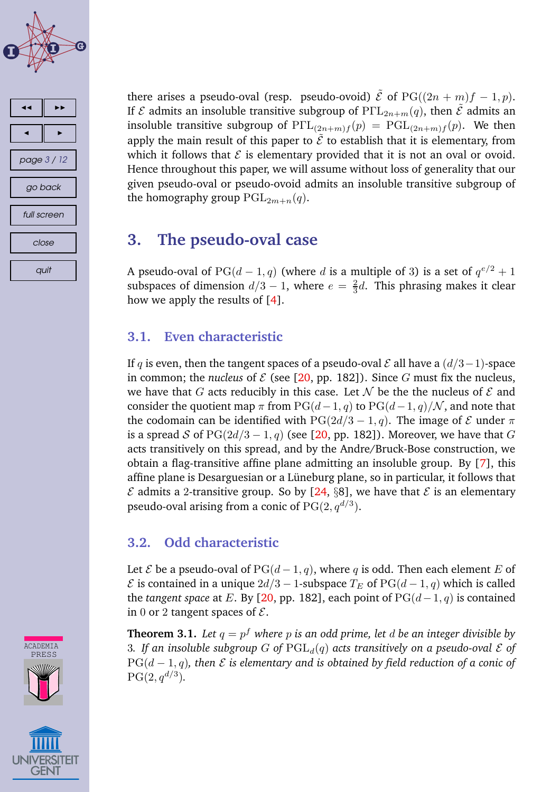



there arises a pseudo-oval (resp. pseudo-ovoid)  $\tilde{\mathcal{E}}$  of PG( $(2n + m)f - 1, p$ ). If  $\mathcal E$  admits an insoluble transitive subgroup of  $\text{P}\Gamma\text{L}_{2n+m}(q)$ , then  $\tilde{\mathcal E}$  admits an insoluble transitive subgroup of  $P\Gamma L_{(2n+m)f}(p) = PGL_{(2n+m)f}(p)$ . We then apply the main result of this paper to  $\tilde{\mathcal{E}}$  to establish that it is elementary, from which it follows that  $\mathcal E$  is elementary provided that it is not an oval or ovoid. Hence throughout this paper, we will assume without loss of generality that our given pseudo-oval or pseudo-ovoid admits an insoluble transitive subgroup of the homography group  $PGL_{2m+n}(q)$ .

### **3. The pseudo-oval case**

A pseudo-oval of PG( $d-1, q$ ) (where d is a multiple of 3) is a set of  $q^{e/2}+1$ subspaces of dimension  $d/3-1$ , where  $e=\frac{2}{3}$  $\frac{2}{3}d$ . This phrasing makes it clear how we apply the results of [\[4\]](#page-10-0).

### **3.1. Even characteristic**

If q is even, then the tangent spaces of a pseudo-oval  $\mathcal E$  all have a  $(d/3-1)$ -space in common; the *nucleus* of  $\mathcal E$  (see [\[20,](#page-11-0) pp. 182]). Since  $G$  must fix the nucleus, we have that G acts reducibly in this case. Let N be the the nucleus of  $\mathcal E$  and consider the quotient map  $\pi$  from PG( $(d-1, q)$  to PG( $(d-1, q)/N$ , and note that the codomain can be identified with  $PG(2d/3 - 1, q)$ . The image of  $\mathcal E$  under  $\pi$ is a spread S of  $PG(2d/3 - 1, q)$  (see [\[20,](#page-11-0) pp. 182]). Moreover, we have that G acts transitively on this spread, and by the Andre/Bruck-Bose construction, we obtain a flag-transitive affine plane admitting an insoluble group. By [\[7\]](#page-10-0), this affine plane is Desarguesian or a Lüneburg plane, so in particular, it follows that  $\mathcal E$  admits a 2-transitive group. So by [\[24,](#page-11-0) §8], we have that  $\mathcal E$  is an elementary pseudo-oval arising from a conic of  $\mathrm{PG}(2,q^{d/3}).$ 

### **3.2. Odd characteristic**

Let  $\mathcal E$  be a pseudo-oval of PG( $d-1, q$ ), where q is odd. Then each element E of  $\mathcal E$  is contained in a unique  $2d/3 - 1$ -subspace  $T_E$  of  $PG(d-1, q)$  which is called the *tangent space* at E. By [\[20,](#page-11-0) pp. 182], each point of  $PG(d-1, q)$  is contained in 0 or 2 tangent spaces of  $\mathcal{E}$ .

**Theorem 3.1.** *Let* q = p <sup>f</sup> *where* p *is an odd prime, let* d *be an integer divisible by* 3. If an insoluble subgroup G of  $\text{PGL}_d(q)$  acts transitively on a pseudo-oval  $\mathcal E$  of  $PG(d-1, q)$ , then  $\mathcal E$  *is* elementary and *is* obtained by field reduction of a conic of  $PG(2, q^{d/3}).$ 



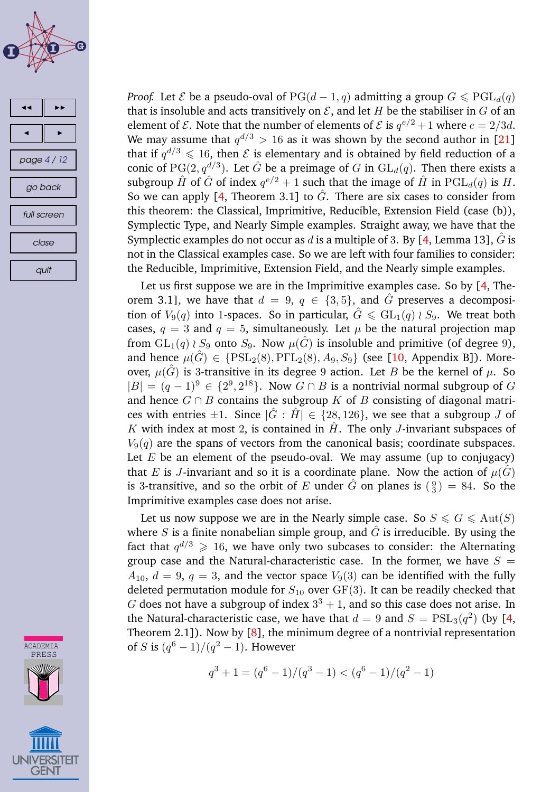



ACADEMIA PRESS **UNIVERSITEIT** GENT

*Proof.* Let *E* be a pseudo-oval of  $PG(d-1, q)$  admitting a group  $G \leq PGL_d(q)$ that is insoluble and acts transitively on  $\mathcal E$ , and let H be the stabiliser in G of an element of  $\mathcal E$ . Note that the number of elements of  $\mathcal E$  is  $q^{e/2}+1$  where  $e=2/3d$ . We may assume that  $q^{d/3} > 16$  as it was shown by the second author in [\[21\]](#page-11-0) that if  $q^{d/3} \leqslant 16$ , then  $\mathcal E$  is elementary and is obtained by field reduction of a conic of  $\mathrm{PG}(2,q^{d/3}).$  Let  $\hat{G}$  be a preimage of  $G$  in  $\mathrm{GL}_d(q).$  Then there exists a subgroup  $\hat{H}$  of  $\hat{G}$  of index  $q^{e/2}+1$  such that the image of  $\hat{H}$  in  $\mathrm{PGL}_d(q)$  is  $H.$ So we can apply [\[4,](#page-10-0) Theorem 3.1] to  $\hat{G}$ . There are six cases to consider from this theorem: the Classical, Imprimitive, Reducible, Extension Field (case (b)), Symplectic Type, and Nearly Simple examples. Straight away, we have that the Symplectic examples do not occur as d is a multiple of 3. By  $[4]$ , Lemma 13], G is not in the Classical examples case. So we are left with four families to consider: the Reducible, Imprimitive, Extension Field, and the Nearly simple examples.

Let us first suppose we are in the Imprimitive examples case. So by [\[4,](#page-10-0) Theorem 3.1], we have that  $d = 9$ ,  $q \in \{3, 5\}$ , and  $\hat{G}$  preserves a decomposition of  $V_9(q)$  into 1-spaces. So in particular,  $\hat{G} \leq \text{GL}_1(q) \wr S_9$ . We treat both cases,  $q = 3$  and  $q = 5$ , simultaneously. Let  $\mu$  be the natural projection map from  $GL_1(q) \wr S_9$  onto  $S_9$ . Now  $\mu(\hat{G})$  is insoluble and primitive (of degree 9), and hence  $\mu(\hat{G}) \in \{PSL_2(8), P\Gamma L_2(8), A_9, S_9\}$  (see [\[10,](#page-10-0) Appendix B]). Moreover,  $\mu(\hat{G})$  is 3-transitive in its degree 9 action. Let B be the kernel of  $\mu$ . So  $|B| = (q-1)^9 \in \{2^9, 2^{18}\}\$ . Now  $G \cap B$  is a nontrivial normal subgroup of  $G$ and hence  $G \cap B$  contains the subgroup K of B consisting of diagonal matrices with entries  $\pm 1$ . Since  $|\tilde{G}:H|\in \{28, 126\}$ , we see that a subgroup J of K with index at most 2, is contained in  $\hat{H}$ . The only *J*-invariant subspaces of  $V_9(q)$  are the spans of vectors from the canonical basis; coordinate subspaces. Let  $E$  be an element of the pseudo-oval. We may assume (up to conjugacy) that E is J-invariant and so it is a coordinate plane. Now the action of  $\mu(\hat{G})$ is 3-transitive, and so the orbit of E under  $\hat{G}$  on planes is  $\binom{9}{3} = 84$ . So the Imprimitive examples case does not arise.

Let us now suppose we are in the Nearly simple case. So  $S \le G \le \text{Aut}(S)$ where S is a finite nonabelian simple group, and  $\hat{G}$  is irreducible. By using the fact that  $q^{d/3} \, \geqslant \, 16,$  we have only two subcases to consider: the Alternating group case and the Natural-characteristic case. In the former, we have  $S =$  $A_{10}$ ,  $d = 9$ ,  $q = 3$ , and the vector space  $V_9(3)$  can be identified with the fully deleted permutation module for  $S_{10}$  over  $GF(3)$ . It can be readily checked that G does not have a subgroup of index  $3^3 + 1$ , and so this case does not arise. In the Natural-characteristic case, we have that  $d=9$  and  $S={\rm PSL}_3(q^2)$  (by [\[4,](#page-10-0) Theorem 2.1]). Now by  $[8]$ , the minimum degree of a nontrivial representation of S is  $(q^6 - 1)/(q^2 - 1)$ . However

$$
q^{3} + 1 = (q^{6} - 1)/(q^{3} - 1) < (q^{6} - 1)/(q^{2} - 1)
$$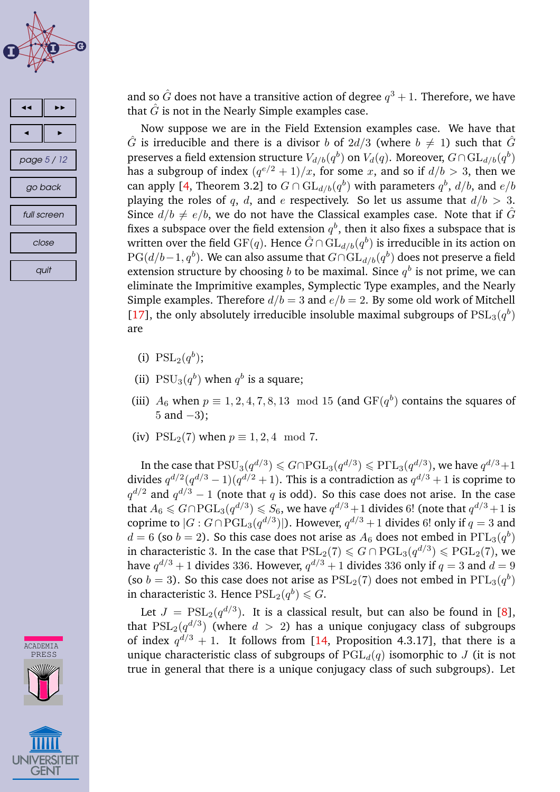



and so  $\hat G$  does not have a transitive action of degree  $q^3+1.$  Therefore, we have that  $\hat{G}$  is not in the Nearly Simple examples case.

Now suppose we are in the Field Extension examples case. We have that  $\hat{G}$  is irreducible and there is a divisor b of  $2d/3$  (where  $b \neq 1$ ) such that  $\hat{G}$ preserves a field extension structure  $V_{d/b}(q^b)$  on  $V_d(q)$ . Moreover,  $G \cap \mathrm{GL}_{d/b}(q^b)$ has a subgroup of index  $(q^{e/2}+1)/x$ , for some  $x$ , and so if  $d/b > 3$ , then we can apply [\[4,](#page-10-0) Theorem 3.2] to  $G \cap \mathrm{GL}_{d/b}(q^{b})$  with parameters  $q^{b}$ ,  $d/b$ , and  $e/b$ playing the roles of q, d, and e respectively. So let us assume that  $d/b > 3$ . Since  $d/b \neq e/b$ , we do not have the Classical examples case. Note that if  $\hat{G}$ fixes a subspace over the field extension  $q^b,$  then it also fixes a subspace that is written over the field  $\mathrm{GF}(q).$  Hence  $\hat{G} \cap \mathrm{GL}_{d/b}(q^{b})$  is irreducible in its action on  $\mathrm{PG}(d/b-1,q^b).$  We can also assume that  $G\cap \mathrm{GL}_{d/b}(q^b)$  does not preserve a field extension structure by choosing  $b$  to be maximal. Since  $q^b$  is not prime, we can eliminate the Imprimitive examples, Symplectic Type examples, and the Nearly Simple examples. Therefore  $d/b = 3$  and  $e/b = 2$ . By some old work of Mitchell [\[17\]](#page-11-0), the only absolutely irreducible insoluble maximal subgroups of  $PSL<sub>3</sub>(q<sup>b</sup>)$ are

- (i)  $PSL_2(q^b)$ ;
- (ii)  $PSU_3(q^b)$  when  $q^b$  is a square;
- (iii)  $A_6$  when  $p \equiv 1, 2, 4, 7, 8, 13 \mod 15$  (and  $GF(q^b)$  contains the squares of 5 and  $-3$ );
- (iv)  $PSL_2(7)$  when  $p \equiv 1, 2, 4 \mod 7$ .

In the case that  $PSU_3(q^{d/3}) \le G \cap \mathrm{PGL}_3(q^{d/3}) \le P\Gamma L_3(q^{d/3})$ , we have  $q^{d/3}+1$ divides  $q^{d/2}(q^{d/3}-1)(q^{d/2}+1)$ . This is a contradiction as  $q^{d/3}+1$  is coprime to  $q^{d/2}$  and  $q^{d/3} - 1$  (note that q is odd). So this case does not arise. In the case that  $A_6 \leq G \cap \mathrm{PGL}_3(q^{d/3}) \leq S_6$ , we have  $q^{d/3}+1$  divides 6! (note that  $q^{d/3}+1$  is coprime to  $|G:G\cap \mathrm{PGL}_3(q^{d/3})|$ ). However,  $q^{d/3}+1$  divides 6! only if  $q=3$  and  $d = 6$  (so  $b = 2$ ). So this case does not arise as  $A_6$  does not embed in  $\text{P}\Gamma\text{L}_3(q^b)$ in characteristic 3. In the case that  $PSL_2(7) \le G \cap PGL_3(q^{d/3}) \le PGL_2(7)$ , we have  $q^{d/3}+1$  divides 336. However,  $q^{d/3}+1$  divides 336 only if  $q=3$  and  $d=9$ (so  $b = 3$ ). So this case does not arise as  $PSL_2(7)$  does not embed in  $P\Gamma L_3(q^b)$ in characteristic 3. Hence  $\mathrm{PSL}_2(q^b)\leqslant G.$ 

Let  $J = \mathrm{PSL}_2(q^{d/3})$ . It is a classical result, but can also be found in [\[8\]](#page-10-0), that  $\mathrm{PSL}_2(q^{d/3})$  (where  $d$   $>$   $\, 2)$  has a unique conjugacy class of subgroups of index  $q^{d/3}+1$ . It follows from [\[14,](#page-10-0) Proposition 4.3.17], that there is a unique characteristic class of subgroups of  $PGL_d(q)$  isomorphic to J (it is not true in general that there is a unique conjugacy class of such subgroups). Let



CADEMI<sup>2</sup>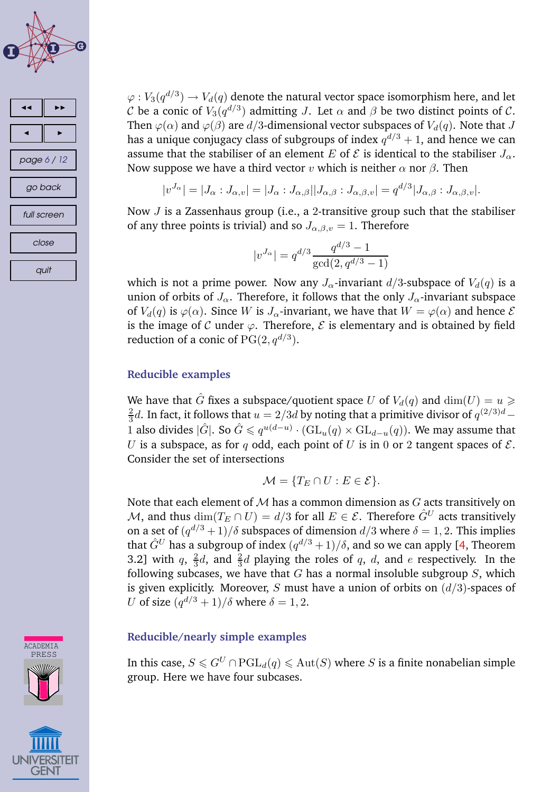



 $\varphi: V_3(q^{d/3}) \to V_d(q)$  denote the natural vector space isomorphism here, and let C be a conic of  $V_3(q^{d/3})$  admitting J. Let  $\alpha$  and  $\beta$  be two distinct points of C. Then  $\varphi(\alpha)$  and  $\varphi(\beta)$  are  $d/3$ -dimensional vector subspaces of  $V_d(q)$ . Note that J has a unique conjugacy class of subgroups of index  $q^{d/3}+1,$  and hence we can assume that the stabiliser of an element E of  $\mathcal E$  is identical to the stabiliser  $J_\alpha$ . Now suppose we have a third vector v which is neither  $\alpha$  nor  $\beta$ . Then

$$
|v^{J_{\alpha}}| = |J_{\alpha} : J_{\alpha,v}| = |J_{\alpha} : J_{\alpha,\beta}||J_{\alpha,\beta} : J_{\alpha,\beta,v}| = q^{d/3}|J_{\alpha,\beta} : J_{\alpha,\beta,v}|.
$$

Now  $J$  is a Zassenhaus group (i.e., a 2-transitive group such that the stabiliser of any three points is trivial) and so  $J_{\alpha,\beta,v} = 1$ . Therefore

$$
|v^{J_{\alpha}}| = q^{d/3} \frac{q^{d/3} - 1}{\gcd(2, q^{d/3} - 1)}
$$

which is not a prime power. Now any  $J_{\alpha}$ -invariant  $d/3$ -subspace of  $V_d(q)$  is a union of orbits of  $J_{\alpha}$ . Therefore, it follows that the only  $J_{\alpha}$ -invariant subspace of  $V_d(q)$  is  $\varphi(\alpha)$ . Since W is  $J_\alpha$ -invariant, we have that  $W = \varphi(\alpha)$  and hence  $\mathcal E$ is the image of C under  $\varphi$ . Therefore, E is elementary and is obtained by field reduction of a conic of  $\mathrm{PG}(2,q^{d/3}).$ 

### **Reducible examples**

We have that  $\hat{G}$  fixes a subspace/quotient space U of  $V_d(q)$  and  $\dim(U) = u \geq$ 2  $\frac{2}{3}$ d. In fact, it follows that  $u = 2/3d$  by noting that a primitive divisor of  $q^{(2/3)d}$  – 1 also divides  $|\hat{G}|$ . So  $\hat{G} \leqslant q^{u(d-u)} \cdot (\mathrm{GL}_u(q) \times \mathrm{GL}_{d-u}(q))$ . We may assume that U is a subspace, as for q odd, each point of U is in 0 or 2 tangent spaces of  $\mathcal{E}$ . Consider the set of intersections

$$
\mathcal{M} = \{ T_E \cap U : E \in \mathcal{E} \}.
$$

Note that each element of  $M$  has a common dimension as  $G$  acts transitively on M, and thus  $\dim(T_E \cap U) = d/3$  for all  $E \in \mathcal{E}$ . Therefore  $\hat{G}^U$  acts transitively on a set of  $(q^{d/3}+1)/\delta$  subspaces of dimension  $d/3$  where  $\delta=1,2.$  This implies that  $\hat{G}^U$  has a subgroup of index  $(q^{d/3}+1)/\delta,$  and so we can apply [\[4,](#page-10-0) Theorem 3.2] with  $q, \frac{2}{3}$  $\frac{2}{3}d$ , and  $\frac{2}{3}d$  playing the roles of q, d, and e respectively. In the following subcases, we have that  $G$  has a normal insoluble subgroup  $S$ , which is given explicitly. Moreover, S must have a union of orbits on  $(d/3)$ -spaces of U of size  $(q^{d/3} + 1)/\delta$  where  $\delta = 1, 2$ .

### **Reducible/nearly simple examples**

In this case,  $S \leq G^U \cap \text{PGL}_d(q) \leq Aut(S)$  where S is a finite nonabelian simple group. Here we have four subcases.



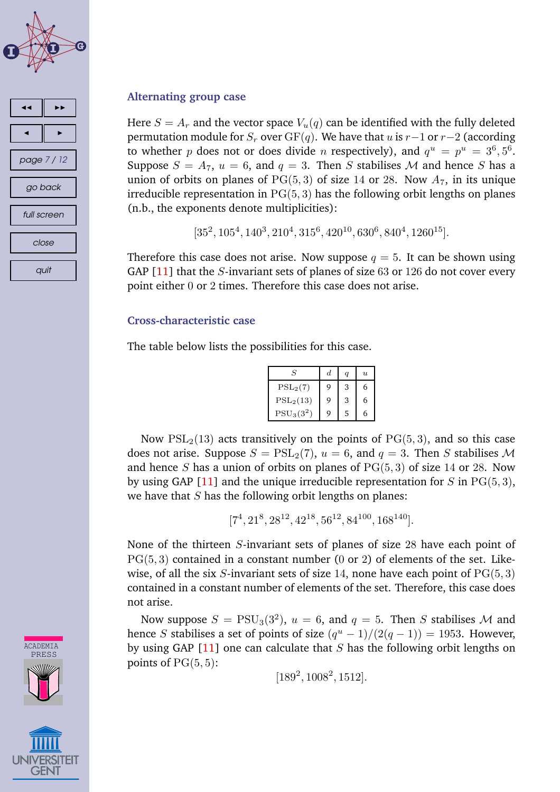

## 44 || ÞÞ 4 || 1> page 7 / 12 go back full screen close quit

# **CADEMIA** PRESS

### **Alternating group case**

Here  $S = A_r$  and the vector space  $V_u(q)$  can be identified with the fully deleted permutation module for  $S_r$  over GF(q). We have that u is r-1 or r-2 (according to whether p does not or does divide n respectively), and  $q^u = p^u = 3^6, 5^6$ . Suppose  $S = A_7$ ,  $u = 6$ , and  $q = 3$ . Then S stabilises M and hence S has a union of orbits on planes of  $PG(5, 3)$  of size 14 or 28. Now  $A_7$ , in its unique irreducible representation in  $PG(5, 3)$  has the following orbit lengths on planes (n.b., the exponents denote multiplicities):

 $[35^2, 105^4, 140^3, 210^4, 315^6, 420^{10}, 630^6, 840^4, 1260^{15}].$ 

Therefore this case does not arise. Now suppose  $q = 5$ . It can be shown using GAP  $[11]$  that the *S*-invariant sets of planes of size 63 or 126 do not cover every point either 0 or 2 times. Therefore this case does not arise.

### **Cross-characteristic case**

The table below lists the possibilities for this case.

| S            | d. |   | $\boldsymbol{\eta}$ |
|--------------|----|---|---------------------|
| $PSL_2(7)$   | 9  | 3 | 6                   |
| $PSL_2(13)$  | 9  | 3 | 6                   |
| $PSU_3(3^2)$ | g  | 5 | 6                   |

Now  $PSL<sub>2</sub>(13)$  acts transitively on the points of  $PG(5,3)$ , and so this case does not arise. Suppose  $S = \text{PSL}_2(7)$ ,  $u = 6$ , and  $q = 3$ . Then S stabilises M and hence S has a union of orbits on planes of  $PG(5, 3)$  of size 14 or 28. Now by using GAP [\[11\]](#page-10-0) and the unique irreducible representation for S in  $PG(5, 3)$ , we have that  $S$  has the following orbit lengths on planes:

 $[7^4, 21^8, 28^{12}, 42^{18}, 56^{12}, 84^{100}, 168^{140}].$ 

None of the thirteen S-invariant sets of planes of size 28 have each point of  $PG(5, 3)$  contained in a constant number (0 or 2) of elements of the set. Likewise, of all the six S-invariant sets of size 14, none have each point of  $PG(5, 3)$ contained in a constant number of elements of the set. Therefore, this case does not arise.

Now suppose  $S = \text{PSU}_3(3^2)$ ,  $u = 6$ , and  $q = 5$ . Then S stabilises M and hence *S* stabilises a set of points of size  $(q^u - 1)/(2(q - 1)) = 1953$ . However, by using GAP  $[11]$  one can calculate that S has the following orbit lengths on points of  $PG(5, 5)$ :

 $[189^2, 1008^2, 1512].$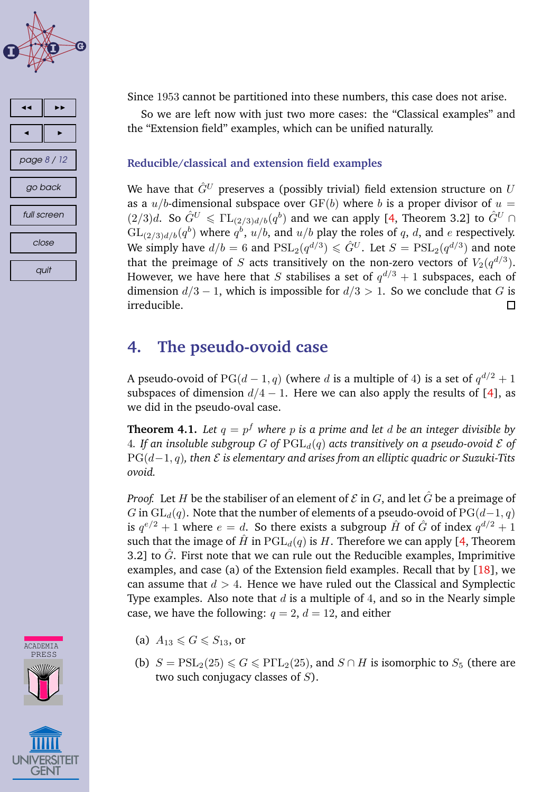



Since 1953 cannot be partitioned into these numbers, this case does not arise.

So we are left now with just two more cases: the "Classical examples" and the "Extension field" examples, which can be unified naturally.

### **Reducible/classical and extension field examples**

We have that  $\hat{G}^U$  preserves a (possibly trivial) field extension structure on U as a  $u/b$ -dimensional subspace over  $GF(b)$  where b is a proper divisor of  $u =$  $(2/3)d$ . So  $\hat{G}^U \leq \Gamma L_{(2/3)d/b}(q^b)$  and we can apply [\[4,](#page-10-0) Theorem 3.2] to  $\hat{G}^U \cap$  $\mathrm{GL}_{(2/3)d/b}(q^b)$  where  $q^b$ ,  $u/b$ , and  $u/b$  play the roles of  $q$ ,  $d$ , and  $e$  respectively. We simply have  $d/b=6$  and  $\mathrm{PSL}_2(q^{d/3})\leqslant \hat{G}^U.$  Let  $S=\mathrm{PSL}_2(q^{d/3})$  and note that the preimage of  $S$  acts transitively on the non-zero vectors of  $V_2(q^{d/3}).$ However, we have here that  $S$  stabilises a set of  $q^{d/3}+1$  subspaces, each of dimension  $d/3 - 1$ , which is impossible for  $d/3 > 1$ . So we conclude that G is irreducible.  $\Box$ 

### **4. The pseudo-ovoid case**

A pseudo-ovoid of  $PG(d-1, q)$  (where  $d$  is a multiple of 4) is a set of  $q^{d/2}+1$ subspaces of dimension  $d/4 - 1$ . Here we can also apply the results of [\[4\]](#page-10-0), as we did in the pseudo-oval case.

**Theorem 4.1.** *Let* q = p <sup>f</sup> *where* p *is a prime and let* d *be an integer divisible by* 4. If an insoluble subgroup G of  $\text{PGL}_d(q)$  acts transitively on a pseudo-ovoid  $\mathcal E$  of PG(d−1, q)*, then* E *is elementary and arises from an elliptic quadric or Suzuki-Tits ovoid.*

*Proof.* Let H be the stabiliser of an element of  $\mathcal E$  in  $G$ , and let  $\tilde G$  be a preimage of G in  $GL_d(q)$ . Note that the number of elements of a pseudo-ovoid of PG( $d-1, q$ ) is  $q^{e/2} + 1$  where  $e = d$ . So there exists a subgroup  $\hat{H}$  of  $\hat{G}$  of index  $q^{d/2} + 1$ such that the image of  $\hat{H}$  in  $PGL_d(q)$  is H. Therefore we can apply [\[4,](#page-10-0) Theorem 3.2] to  $\hat{G}$ . First note that we can rule out the Reducible examples, Imprimitive examples, and case (a) of the Extension field examples. Recall that by [\[18\]](#page-11-0), we can assume that  $d > 4$ . Hence we have ruled out the Classical and Symplectic Type examples. Also note that  $d$  is a multiple of 4, and so in the Nearly simple case, we have the following:  $q = 2$ ,  $d = 12$ , and either

- (a)  $A_{13} \le G \le S_{13}$ , or
- (b)  $S = \text{PSL}_2(25) \le G \le \text{P}\Gamma\text{L}_2(25)$ , and  $S \cap H$  is isomorphic to  $S_5$  (there are two such conjugacy classes of  $S$ ).

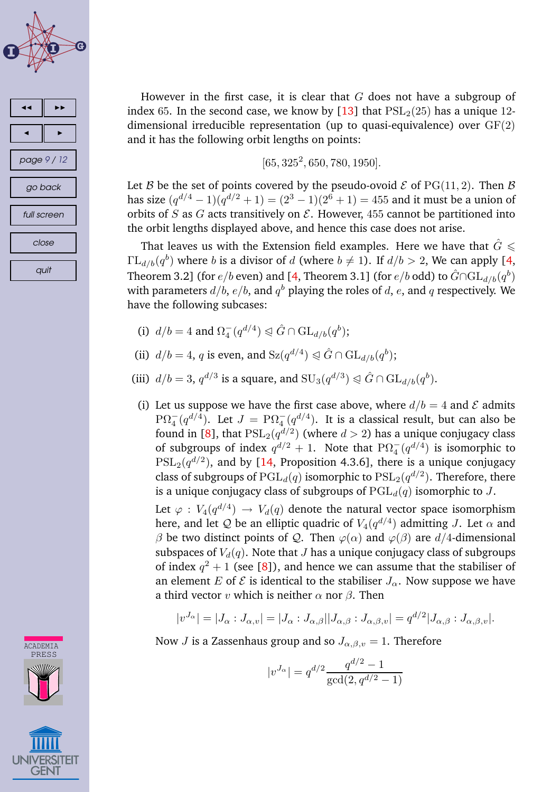



**CADEMIA** PRESS

However in the first case, it is clear that  $G$  does not have a subgroup of index 65. In the second case, we know by [\[13\]](#page-10-0) that  $PSL<sub>2</sub>(25)$  has a unique 12dimensional irreducible representation (up to quasi-equivalence) over  $GF(2)$ and it has the following orbit lengths on points:

$$
[65, 325^2, 650, 780, 1950].
$$

Let B be the set of points covered by the pseudo-ovoid  $\mathcal E$  of PG(11, 2). Then B has size  $(q^{d/4} - 1)(q^{d/2} + 1) = (2^3 - 1)(2^6 + 1) = 455$  and it must be a union of orbits of S as G acts transitively on  $\mathcal E$ . However, 455 cannot be partitioned into the orbit lengths displayed above, and hence this case does not arise.

That leaves us with the Extension field examples. Here we have that  $\hat{G} \leq$  $\Gamma L_{d/b}(q^b)$  where b is a divisor of d (where  $b \neq 1$ ). If  $d/b > 2$ , We can apply [\[4,](#page-10-0) Theorem 3.2] (for  $e/b$  even) and [\[4,](#page-10-0) Theorem 3.1] (for  $e/b$  odd) to  $\hat{G} \cap \mathrm{GL}_{d/b}(q^{b})$ with parameters  $d/b,$   $e/b,$  and  $q^b$  playing the roles of  $d,$   $e,$  and  $q$  respectively. We have the following subcases:

- (i)  $d/b = 4$  and  $\Omega_4^-(q^{d/4}) \triangleleft \hat{G} \cap \mathrm{GL}_{d/b}(q^b);$
- (ii)  $d/b = 4$ , q is even, and  $Sz(q^{d/4}) \triangleleft \hat{G} \cap GL_{d/b}(q^{b});$
- (iii)  $d/b = 3$ ,  $q^{d/3}$  is a square, and  $SU_3(q^{d/3}) \triangleleft \hat{G} \cap GL_{d/b}(q^b)$ .
- (i) Let us suppose we have the first case above, where  $d/b = 4$  and  $\mathcal E$  admits  $\mathrm{P}\Omega_4^-(q^{d/4}).$  Let  $J=\mathrm{P}\Omega_4^-(q^{d/4}).$  It is a classical result, but can also be found in [\[8\]](#page-10-0), that  $\mathrm{PSL}_2(q^{d/2})$  (where  $d>2$ ) has a unique conjugacy class of subgroups of index  $q^{d/2} + 1$ . Note that  $P\Omega_4^-(q^{d/4})$  is isomorphic to  $\mathrm{PSL}_2(q^{d/2}),$  and by [\[14,](#page-10-0) Proposition 4.3.6], there is a unique conjugacy class of subgroups of  $\operatorname{PGL}_d(q)$  isomorphic to  $\operatorname{PSL}_2(q^{d/2})$ . Therefore, there is a unique conjugacy class of subgroups of  $PGL_d(q)$  isomorphic to J.

Let  $\varphi: V_4(q^{d/4}) \to V_d(q)$  denote the natural vector space isomorphism here, and let  $\mathcal Q$  be an elliptic quadric of  $V_4(q^{d/4})$  admitting  $J$ . Let  $\alpha$  and β be two distinct points of Q. Then  $\varphi(\alpha)$  and  $\varphi(\beta)$  are d/4-dimensional subspaces of  $V_d(q)$ . Note that J has a unique conjugacy class of subgroups of index  $q^2 + 1$  (see [\[8\]](#page-10-0)), and hence we can assume that the stabiliser of an element E of  $\mathcal E$  is identical to the stabiliser  $J_\alpha$ . Now suppose we have a third vector v which is neither  $\alpha$  nor  $\beta$ . Then

$$
|v^{J_{\alpha}}|=|J_{\alpha}:J_{\alpha,v}|=|J_{\alpha}:J_{\alpha,\beta}||J_{\alpha,\beta}:J_{\alpha,\beta,v}|=q^{d/2}|J_{\alpha,\beta}:J_{\alpha,\beta,v}|.
$$

Now *J* is a Zassenhaus group and so  $J_{\alpha,\beta,v} = 1$ . Therefore

$$
|v^{J_{\alpha}}| = q^{d/2} \frac{q^{d/2} - 1}{\gcd(2, q^{d/2} - 1)}
$$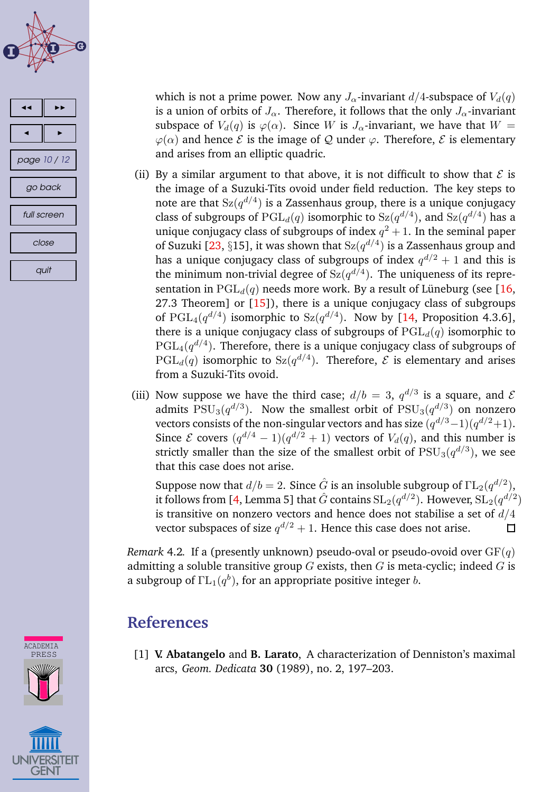<span id="page-9-0"></span>



which is not a prime power. Now any  $J_{\alpha}$ -invariant  $d/4$ -subspace of  $V_d(q)$ is a union of orbits of  $J_{\alpha}$ . Therefore, it follows that the only  $J_{\alpha}$ -invariant subspace of  $V_d(q)$  is  $\varphi(\alpha)$ . Since W is  $J_\alpha$ -invariant, we have that  $W =$  $\varphi(\alpha)$  and hence  $\mathcal E$  is the image of  $\mathcal Q$  under  $\varphi$ . Therefore,  $\mathcal E$  is elementary and arises from an elliptic quadric.

- (ii) By a similar argument to that above, it is not difficult to show that  $\mathcal E$  is the image of a Suzuki-Tits ovoid under field reduction. The key steps to note are that  $\operatorname{Sz}(q^{d/4})$  is a Zassenhaus group, there is a unique conjugacy class of subgroups of  $\mathrm{PGL}_d(q)$  isomorphic to  $\mathrm{Sz}(q^{d/4})$ , and  $\mathrm{Sz}(q^{d/4})$  has a unique conjugacy class of subgroups of index  $q^2+1$ . In the seminal paper of Suzuki [\[23,](#page-11-0) §15], it was shown that  $Sz(q^{d/4})$  is a Zassenhaus group and has a unique conjugacy class of subgroups of index  $q^{d/2}+1$  and this is the minimum non-trivial degree of  $Sz(q^{d/4})$ . The uniqueness of its representation in  $PGL_d(q)$  needs more work. By a result of Lüneburg (see [\[16,](#page-11-0) 27.3 Theorem] or [\[15\]](#page-10-0)), there is a unique conjugacy class of subgroups of PGL<sub>4</sub>( $q^{d/4}$ ) isomorphic to Sz( $q^{d/4}$ ). Now by [\[14,](#page-10-0) Proposition 4.3.6], there is a unique conjugacy class of subgroups of  $PGL_d(q)$  isomorphic to  $\mathrm{PGL}_4(q^{d/4}).$  Therefore, there is a unique conjugacy class of subgroups of  $\mathrm{PGL}_d(q)$  isomorphic to  $\mathrm{Sz}(q^{d/4})$ . Therefore,  ${\mathcal E}$  is elementary and arises from a Suzuki-Tits ovoid.
- (iii) Now suppose we have the third case;  $d/b = 3$ ,  $q^{d/3}$  is a square, and  $\mathcal E$ admits  $\mathrm{PSU}_3(q^{d/3})$ . Now the smallest orbit of  $\mathrm{PSU}_3(q^{d/3})$  on nonzero vectors consists of the non-singular vectors and has size  $(q^{d/3}-1)(q^{d/2}+1)$ . Since  $\mathcal E$  covers  $(q^{d/4}-1)(q^{d/2}+1)$  vectors of  $V_d(q)$ , and this number is strictly smaller than the size of the smallest orbit of  $\mathrm{PSU}_3(q^{d/3}),$  we see that this case does not arise.

Suppose now that  $d/b = 2$ . Since  $\hat{G}$  is an insoluble subgroup of  $\Gamma\mathrm{L}_{2}(q^{d/2}),$ it follows from [\[4,](#page-10-0) Lemma 5] that  $\hat{G}$  contains  $\mathrm{SL}_2(q^{d/2}).$  However,  $\mathrm{SL}_2(q^{d/2})$ is transitive on nonzero vectors and hence does not stabilise a set of  $d/4$ vector subspaces of size  $q^{d/2} + 1$ . Hence this case does not arise.  $\Box$ 

*Remark* 4.2*.* If a (presently unknown) pseudo-oval or pseudo-ovoid over  $GF(q)$ admitting a soluble transitive group  $G$  exists, then  $G$  is meta-cyclic; indeed  $G$  is a subgroup of  $\Gamma\mathrm{L}_1(q^b)$ , for an appropriate positive integer  $b.$ 

### **References**

[1] **V. Abatangelo** and **B. Larato**, A characterization of Denniston's maximal arcs, *Geom. Dedicata* **30** (1989), no. 2, 197–203.



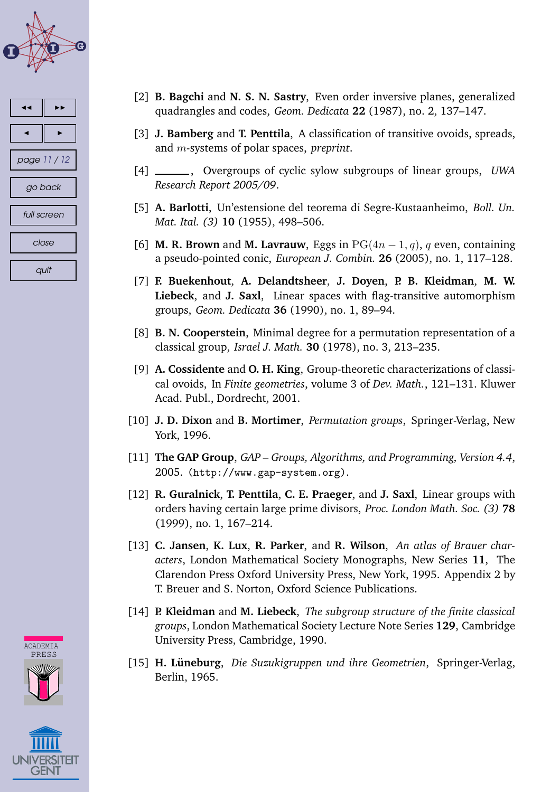<span id="page-10-0"></span>

| page 11 / 12 |  |  |
|--------------|--|--|
| go back      |  |  |
| full screen  |  |  |
| close        |  |  |
| quit         |  |  |





- [2] **B. Bagchi** and **N. S. N. Sastry**, Even order inversive planes, generalized quadrangles and codes, *Geom. Dedicata* **22** (1987), no. 2, 137–147.
- [3] **J. Bamberg** and **T. Penttila**, A classification of transitive ovoids, spreads, and m-systems of polar spaces, *preprint*.
- [4] , Overgroups of cyclic sylow subgroups of linear groups, *UWA Research Report 2005/09*.
- [5] **A. Barlotti**, Un'estensione del teorema di Segre-Kustaanheimo, *Boll. Un. Mat. Ital. (3)* **10** (1955), 498–506.
- [6] **M. R. Brown** and **M. Lavrauw**, Eggs in  $PG(4n-1, q)$ , q even, containing a pseudo-pointed conic, *European J. Combin.* **26** (2005), no. 1, 117–128.
- [7] **F. Buekenhout**, **A. Delandtsheer**, **J. Doyen**, **P. B. Kleidman**, **M. W. Liebeck**, and **J. Saxl**, Linear spaces with flag-transitive automorphism groups, *Geom. Dedicata* **36** (1990), no. 1, 89–94.
- [8] **B. N. Cooperstein**, Minimal degree for a permutation representation of a classical group, *Israel J. Math.* **30** (1978), no. 3, 213–235.
- [9] **A. Cossidente** and **O. H. King**, Group-theoretic characterizations of classical ovoids, In *Finite geometries*, volume 3 of *Dev. Math.*, 121–131. Kluwer Acad. Publ., Dordrecht, 2001.
- [10] **J. D. Dixon** and **B. Mortimer**, *Permutation groups*, Springer-Verlag, New York, 1996.
- [11] **The GAP Group**, *GAP – Groups, Algorithms, and Programming, Version 4.4*, 2005. (http://www.gap-system.org).
- [12] **R. Guralnick**, **T. Penttila**, **C. E. Praeger**, and **J. Saxl**, Linear groups with orders having certain large prime divisors, *Proc. London Math. Soc. (3)* **78** (1999), no. 1, 167–214.
- [13] **C. Jansen**, **K. Lux**, **R. Parker**, and **R. Wilson**, *An atlas of Brauer characters*, London Mathematical Society Monographs, New Series **11**, The Clarendon Press Oxford University Press, New York, 1995. Appendix 2 by T. Breuer and S. Norton, Oxford Science Publications.
- [14] **P. Kleidman** and **M. Liebeck**, *The subgroup structure of the finite classical groups*, London Mathematical Society Lecture Note Series **129**, Cambridge University Press, Cambridge, 1990.
- [15] **H. Luneburg ¨** , *Die Suzukigruppen und ihre Geometrien*, Springer-Verlag, Berlin, 1965.